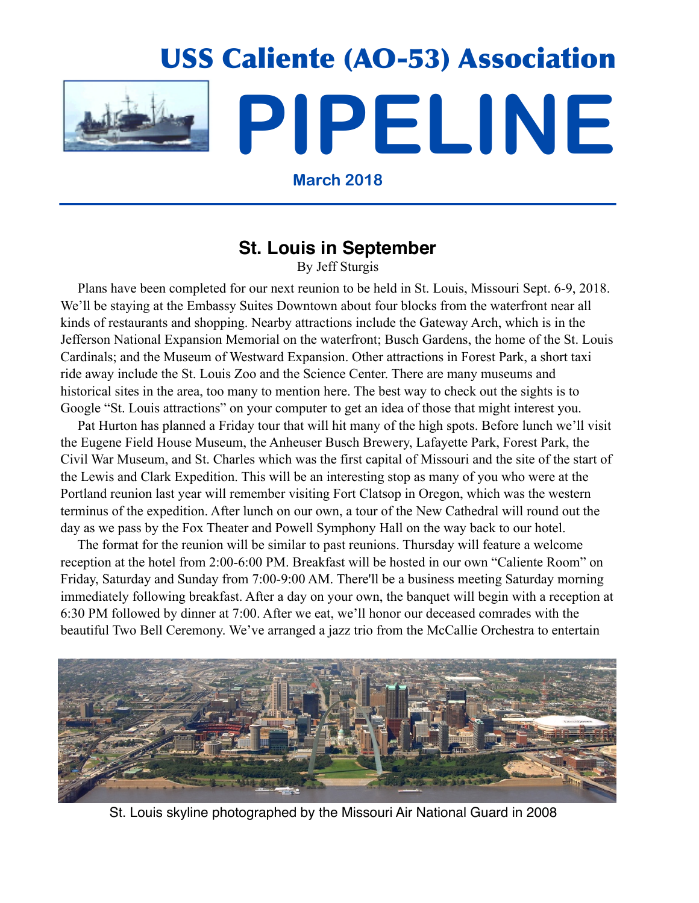

**March 2018**

### **St. Louis in September**

By Jeff Sturgis

 Plans have been completed for our next reunion to be held in St. Louis, Missouri Sept. 6-9, 2018. We'll be staying at the Embassy Suites Downtown about four blocks from the waterfront near all kinds of restaurants and shopping. Nearby attractions include the Gateway Arch, which is in the Jefferson National Expansion Memorial on the waterfront; Busch Gardens, the home of the St. Louis Cardinals; and the Museum of Westward Expansion. Other attractions in Forest Park, a short taxi ride away include the St. Louis Zoo and the Science Center. There are many museums and historical sites in the area, too many to mention here. The best way to check out the sights is to Google "St. Louis attractions" on your computer to get an idea of those that might interest you.

 Pat Hurton has planned a Friday tour that will hit many of the high spots. Before lunch we'll visit the Eugene Field House Museum, the Anheuser Busch Brewery, Lafayette Park, Forest Park, the Civil War Museum, and St. Charles which was the first capital of Missouri and the site of the start of the Lewis and Clark Expedition. This will be an interesting stop as many of you who were at the Portland reunion last year will remember visiting Fort Clatsop in Oregon, which was the western terminus of the expedition. After lunch on our own, a tour of the New Cathedral will round out the day as we pass by the Fox Theater and Powell Symphony Hall on the way back to our hotel.

 The format for the reunion will be similar to past reunions. Thursday will feature a welcome reception at the hotel from 2:00-6:00 PM. Breakfast will be hosted in our own "Caliente Room" on Friday, Saturday and Sunday from 7:00-9:00 AM. There'll be a business meeting Saturday morning immediately following breakfast. After a day on your own, the banquet will begin with a reception at 6:30 PM followed by dinner at 7:00. After we eat, we'll honor our deceased comrades with the beautiful Two Bell Ceremony. We've arranged a jazz trio from the McCallie Orchestra to entertain



St. Louis skyline photographed by the Missouri Air National Guard in 2008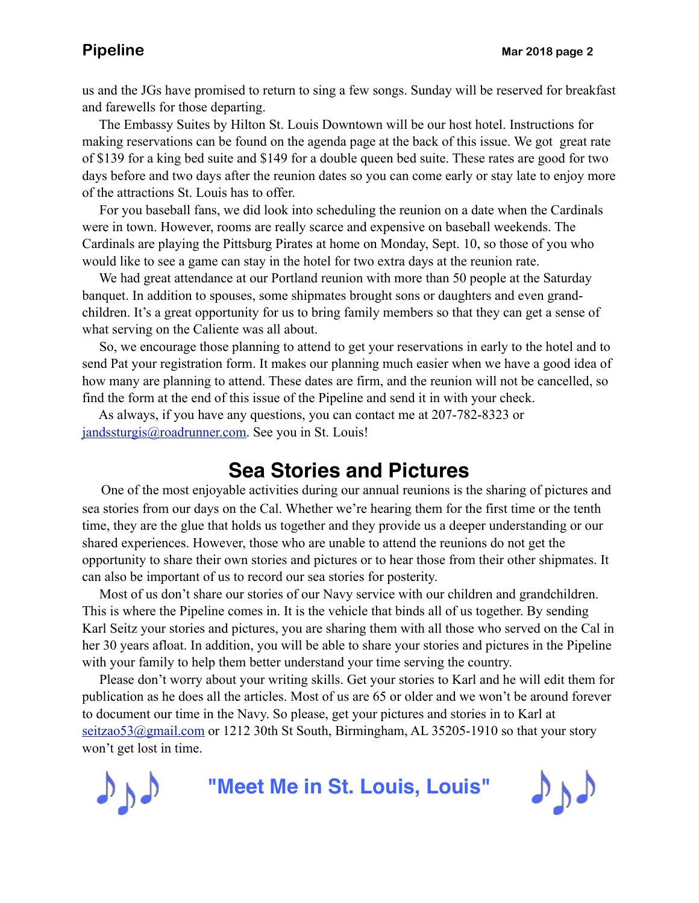us and the JGs have promised to return to sing a few songs. Sunday will be reserved for breakfast and farewells for those departing.

 The Embassy Suites by Hilton St. Louis Downtown will be our host hotel. Instructions for making reservations can be found on the agenda page at the back of this issue. We got great rate of \$139 for a king bed suite and \$149 for a double queen bed suite. These rates are good for two days before and two days after the reunion dates so you can come early or stay late to enjoy more of the attractions St. Louis has to offer.

 For you baseball fans, we did look into scheduling the reunion on a date when the Cardinals were in town. However, rooms are really scarce and expensive on baseball weekends. The Cardinals are playing the Pittsburg Pirates at home on Monday, Sept. 10, so those of you who would like to see a game can stay in the hotel for two extra days at the reunion rate.

We had great attendance at our Portland reunion with more than 50 people at the Saturday banquet. In addition to spouses, some shipmates brought sons or daughters and even grandchildren. It's a great opportunity for us to bring family members so that they can get a sense of what serving on the Caliente was all about.

 So, we encourage those planning to attend to get your reservations in early to the hotel and to send Pat your registration form. It makes our planning much easier when we have a good idea of how many are planning to attend. These dates are firm, and the reunion will not be cancelled, so find the form at the end of this issue of the Pipeline and send it in with your check.

 As always, if you have any questions, you can contact me at 207-782-8323 or [jandssturgis@roadrunner.com.](mailto:jandssturgis@roadrunner.com) See you in St. Louis!

### **Sea Stories and Pictures**

 One of the most enjoyable activities during our annual reunions is the sharing of pictures and sea stories from our days on the Cal. Whether we're hearing them for the first time or the tenth time, they are the glue that holds us together and they provide us a deeper understanding or our shared experiences. However, those who are unable to attend the reunions do not get the opportunity to share their own stories and pictures or to hear those from their other shipmates. It can also be important of us to record our sea stories for posterity.

 Most of us don't share our stories of our Navy service with our children and grandchildren. This is where the Pipeline comes in. It is the vehicle that binds all of us together. By sending Karl Seitz your stories and pictures, you are sharing them with all those who served on the Cal in her 30 years afloat. In addition, you will be able to share your stories and pictures in the Pipeline with your family to help them better understand your time serving the country.

 Please don't worry about your writing skills. Get your stories to Karl and he will edit them for publication as he does all the articles. Most of us are 65 or older and we won't be around forever to document our time in the Navy. So please, get your pictures and stories in to Karl at [seitzao53@gmail.com](mailto:no_reply@apple.com?subject=email%20subject) or 1212 30th St South, Birmingham, AL 35205-1910 so that your story won't get lost in time.



**"Meet Me in St. Louis, Louis"**

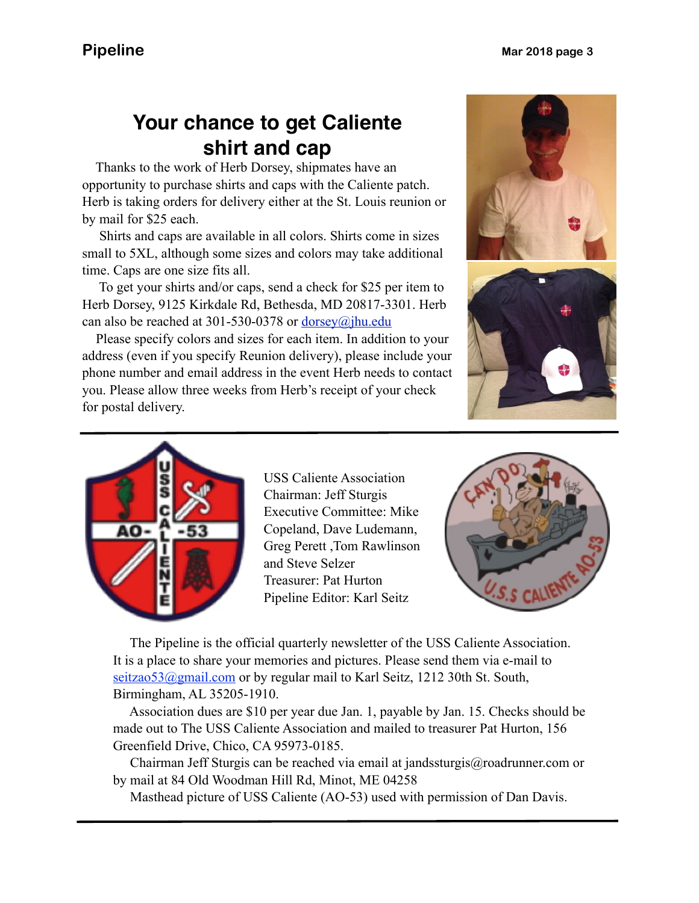# **Your chance to get Caliente shirt and cap**

 Herb is taking orders for delivery either at the St. Louis reunion or Thanks to the work of Herb Dorsey, shipmates have an opportunity to purchase shirts and caps with the Caliente patch. by mail for \$25 each.

 Shirts and caps are available in all colors. Shirts come in sizes small to 5XL, although some sizes and colors may take additional time. Caps are one size fits all.

 To get your shirts and/or caps, send a check for \$25 per item to Herb Dorsey, 9125 Kirkdale Rd, Bethesda, MD 20817-3301. Herb can also be reached at 301-530-0378 or [dorsey@jhu.edu](mailto:dorsey@jhu.edu)

 Please specify colors and sizes for each item. In addition to your address (even if you specify Reunion delivery), please include your phone number and email address in the event Herb needs to contact you. Please allow three weeks from Herb's receipt of your check for postal delivery.







USS Caliente Association Chairman: Jeff Sturgis Executive Committee: Mike Copeland, Dave Ludemann, Greg Perett ,Tom Rawlinson and Steve Selzer Treasurer: Pat Hurton Pipeline Editor: Karl Seitz



 The Pipeline is the official quarterly newsletter of the USS Caliente Association. It is a place to share your memories and pictures. Please send them via e-mail to seitzao53@gmail.com or by regular mail to Karl Seitz, 1212 30th St. South, Birmingham, AL 35205-1910.

 Association dues are \$10 per year due Jan. 1, payable by Jan. 15. Checks should be made out to The USS Caliente Association and mailed to treasurer Pat Hurton, 156 Greenfield Drive, Chico, CA 95973-0185.

 Chairman Jeff Sturgis can be reached via email at jandssturgis@roadrunner.com or by mail at 84 Old Woodman Hill Rd, Minot, ME 04258

Masthead picture of USS Caliente (AO-53) used with permission of Dan Davis.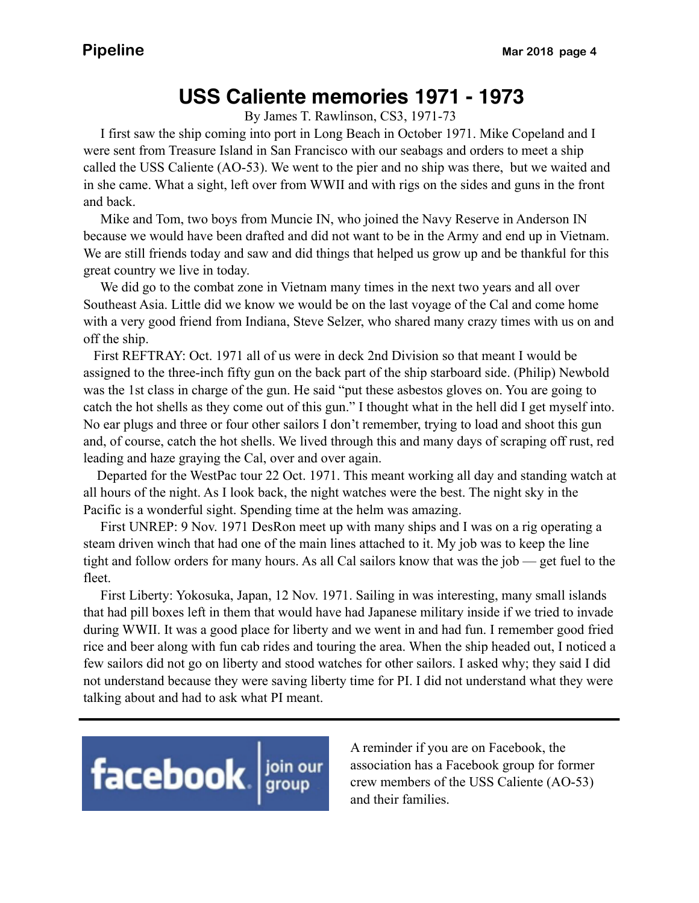## **USS Caliente memories 1971 - 1973**

By James T. Rawlinson, CS3, 1971-73

 I first saw the ship coming into port in Long Beach in October 1971. Mike Copeland and I were sent from Treasure Island in San Francisco with our seabags and orders to meet a ship called the USS Caliente (AO-53). We went to the pier and no ship was there, but we waited and in she came. What a sight, left over from WWII and with rigs on the sides and guns in the front and back.

 Mike and Tom, two boys from Muncie IN, who joined the Navy Reserve in Anderson IN because we would have been drafted and did not want to be in the Army and end up in Vietnam. We are still friends today and saw and did things that helped us grow up and be thankful for this great country we live in today.

 We did go to the combat zone in Vietnam many times in the next two years and all over Southeast Asia. Little did we know we would be on the last voyage of the Cal and come home with a very good friend from Indiana, Steve Selzer, who shared many crazy times with us on and off the ship.

 First REFTRAY: Oct. 1971 all of us were in deck 2nd Division so that meant I would be assigned to the three-inch fifty gun on the back part of the ship starboard side. (Philip) Newbold was the 1st class in charge of the gun. He said "put these asbestos gloves on. You are going to catch the hot shells as they come out of this gun." I thought what in the hell did I get myself into. No ear plugs and three or four other sailors I don't remember, trying to load and shoot this gun and, of course, catch the hot shells. We lived through this and many days of scraping off rust, red leading and haze graying the Cal, over and over again.

 Departed for the WestPac tour 22 Oct. 1971. This meant working all day and standing watch at all hours of the night. As I look back, the night watches were the best. The night sky in the Pacific is a wonderful sight. Spending time at the helm was amazing.

 First UNREP: 9 Nov. 1971 DesRon meet up with many ships and I was on a rig operating a steam driven winch that had one of the main lines attached to it. My job was to keep the line tight and follow orders for many hours. As all Cal sailors know that was the job — get fuel to the fleet.

 First Liberty: Yokosuka, Japan, 12 Nov. 1971. Sailing in was interesting, many small islands that had pill boxes left in them that would have had Japanese military inside if we tried to invade during WWII. It was a good place for liberty and we went in and had fun. I remember good fried rice and beer along with fun cab rides and touring the area. When the ship headed out, I noticed a few sailors did not go on liberty and stood watches for other sailors. I asked why; they said I did not understand because they were saving liberty time for PI. I did not understand what they were talking about and had to ask what PI meant.



A reminder if you are on Facebook, the association has a Facebook group for former crew members of the USS Caliente (AO-53) and their families.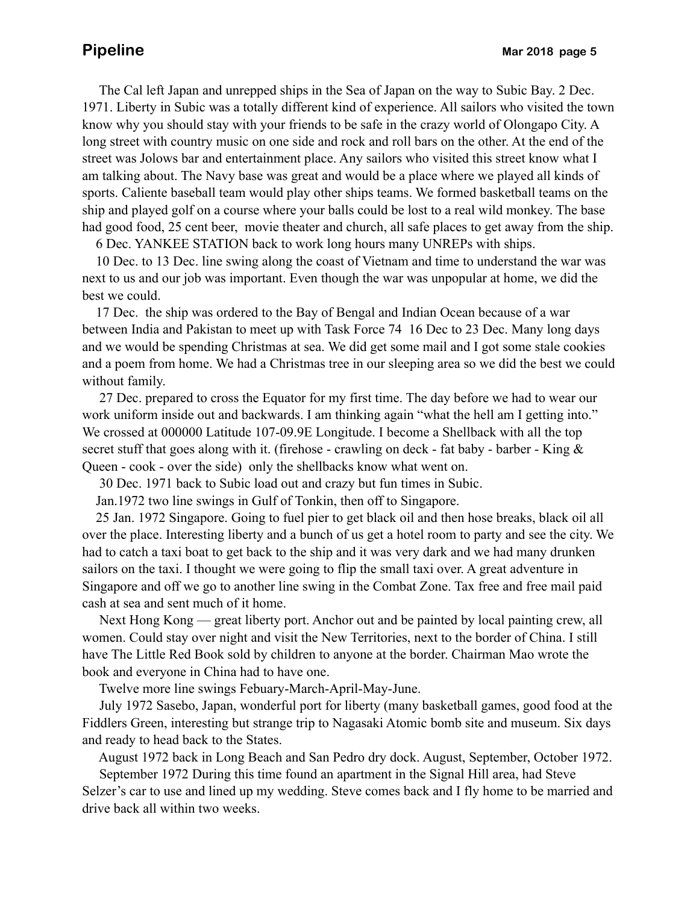The Cal left Japan and unrepped ships in the Sea of Japan on the way to Subic Bay. 2 Dec. 1971. Liberty in Subic was a totally different kind of experience. All sailors who visited the town know why you should stay with your friends to be safe in the crazy world of Olongapo City. A long street with country music on one side and rock and roll bars on the other. At the end of the street was Jolows bar and entertainment place. Any sailors who visited this street know what I am talking about. The Navy base was great and would be a place where we played all kinds of sports. Caliente baseball team would play other ships teams. We formed basketball teams on the ship and played golf on a course where your balls could be lost to a real wild monkey. The base had good food, 25 cent beer, movie theater and church, all safe places to get away from the ship.

6 Dec. YANKEE STATION back to work long hours many UNREPs with ships.

 10 Dec. to 13 Dec. line swing along the coast of Vietnam and time to understand the war was next to us and our job was important. Even though the war was unpopular at home, we did the best we could.

 17 Dec. the ship was ordered to the Bay of Bengal and Indian Ocean because of a war between India and Pakistan to meet up with Task Force 74 16 Dec to 23 Dec. Many long days and we would be spending Christmas at sea. We did get some mail and I got some stale cookies and a poem from home. We had a Christmas tree in our sleeping area so we did the best we could without family.

 27 Dec. prepared to cross the Equator for my first time. The day before we had to wear our work uniform inside out and backwards. I am thinking again "what the hell am I getting into." We crossed at 000000 Latitude 107-09.9E Longitude. I become a Shellback with all the top secret stuff that goes along with it. (firehose - crawling on deck - fat baby - barber - King & Queen - cook - over the side) only the shellbacks know what went on.

30 Dec. 1971 back to Subic load out and crazy but fun times in Subic.

Jan.1972 two line swings in Gulf of Tonkin, then off to Singapore.

 25 Jan. 1972 Singapore. Going to fuel pier to get black oil and then hose breaks, black oil all over the place. Interesting liberty and a bunch of us get a hotel room to party and see the city. We had to catch a taxi boat to get back to the ship and it was very dark and we had many drunken sailors on the taxi. I thought we were going to flip the small taxi over. A great adventure in Singapore and off we go to another line swing in the Combat Zone. Tax free and free mail paid cash at sea and sent much of it home.

 Next Hong Kong — great liberty port. Anchor out and be painted by local painting crew, all women. Could stay over night and visit the New Territories, next to the border of China. I still have The Little Red Book sold by children to anyone at the border. Chairman Mao wrote the book and everyone in China had to have one.

Twelve more line swings Febuary-March-April-May-June.

 July 1972 Sasebo, Japan, wonderful port for liberty (many basketball games, good food at the Fiddlers Green, interesting but strange trip to Nagasaki Atomic bomb site and museum. Six days and ready to head back to the States.

August 1972 back in Long Beach and San Pedro dry dock. August, September, October 1972.

 September 1972 During this time found an apartment in the Signal Hill area, had Steve Selzer's car to use and lined up my wedding. Steve comes back and I fly home to be married and drive back all within two weeks.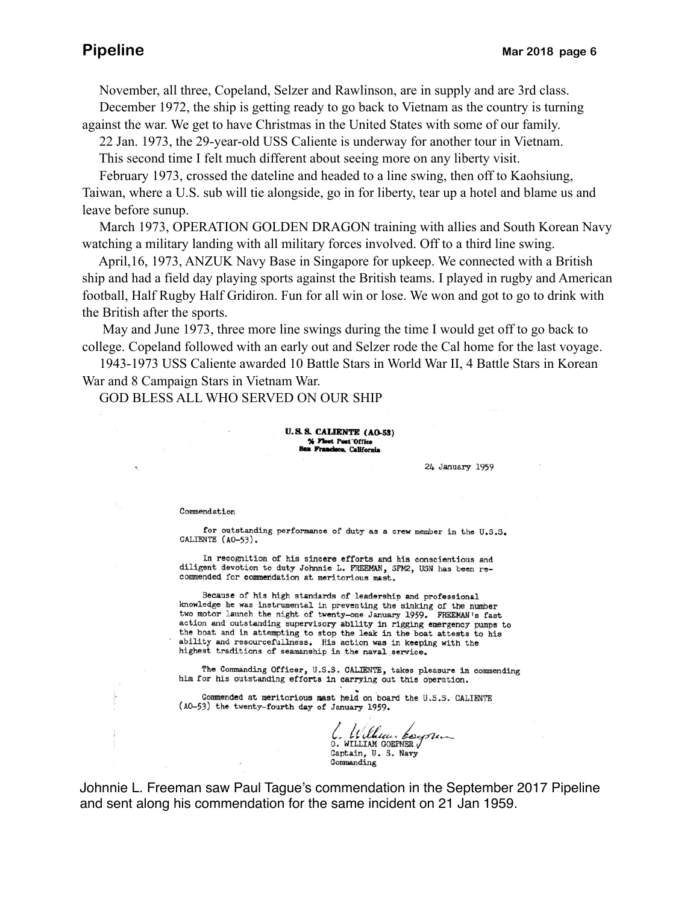November, all three, Copeland, Selzer and Rawlinson, are in supply and are 3rd class. December 1972, the ship is getting ready to go back to Vietnam as the country is turning against the war. We get to have Christmas in the United States with some of our family.

22 Jan. 1973, the 29-year-old USS Caliente is underway for another tour in Vietnam.

This second time I felt much different about seeing more on any liberty visit.

February 1973, crossed the dateline and headed to a line swing, then off to Kaohsiung,

Taiwan, where a U.S. sub will tie alongside, go in for liberty, tear up a hotel and blame us and leave before sunup.

 March 1973, OPERATION GOLDEN DRAGON training with allies and South Korean Navy watching a military landing with all military forces involved. Off to a third line swing.

 April,16, 1973, ANZUK Navy Base in Singapore for upkeep. We connected with a British ship and had a field day playing sports against the British teams. I played in rugby and American football, Half Rugby Half Gridiron. Fun for all win or lose. We won and got to go to drink with the British after the sports.

 May and June 1973, three more line swings during the time I would get off to go back to college. Copeland followed with an early out and Selzer rode the Cal home for the last voyage.

 1943-1973 USS Caliente awarded 10 Battle Stars in World War II, 4 Battle Stars in Korean War and 8 Campaign Stars in Vietnam War.

GOD BLESS ALL WHO SERVED ON OUR SHIP

### **U.S.S. CALIENTE (AO-53)** % Fleet Post Office San Francisco, California

24 January 1959

### Commendation

for outstanding performance of duty as a crew member in the U.S.S. CALIENTE (AO-53).

In recognition of his sincere efforts and his conscientious and diligent devotion to duty Johnnie L. FREEMAN, SFM2, USN has been recommended for commendation at meritorious mast.

Because of his high standards of leadership and professional knowledge he was instrumental in preventing the sinking of the number two motor launch the night of twenty-one January 1959. FREEMAN's fast action and outstanding supervisory ability in rigging emergency pumps to the boat and in attempting to stop the leak in the boat attests to his ability and resourcefulness. His action was in keeping with the highest traditions of seamanship in the naval service.

The Commanding Officer, U.S.S. CALLENTE, takes pleasure in commending him for his outstanding efforts in carrying out this operation.

Commended at meritorious mast held on board the U.S.S. CALIENTE (AO-53) the twenty-fourth day of January 1959.

6. William CONTRATION Captain, U. S. Navy Commanding

Johnnie L. Freeman saw Paul Tague's commendation in the September 2017 Pipeline and sent along his commendation for the same incident on 21 Jan 1959.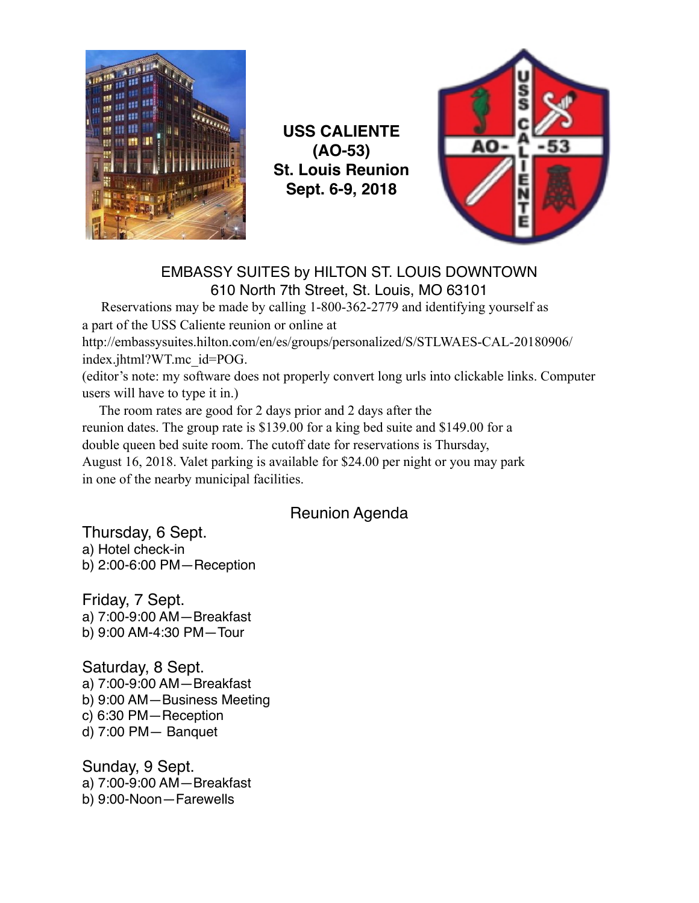

**USS CALIENTE (AO-53) St. Louis Reunion Sept. 6-9, 2018**



### EMBASSY SUITES by HILTON ST. LOUIS DOWNTOWN 610 North 7th Street, St. Louis, MO 63101

 Reservations may be made by calling 1-800-362-2779 and identifying yourself as a part of the USS Caliente reunion or online at http://embassysuites.hilton.com/en/es/groups/personalized/S/STLWAES-CAL-20180906/ index.jhtml?WT.mc\_id=POG.

(editor's note: my software does not properly convert long urls into clickable links. Computer users will have to type it in.)

 The room rates are good for 2 days prior and 2 days after the reunion dates. The group rate is \$139.00 for a king bed suite and \$149.00 for a double queen bed suite room. The cutoff date for reservations is Thursday, August 16, 2018. Valet parking is available for \$24.00 per night or you may park in one of the nearby municipal facilities.

### Reunion Agenda

Thursday, 6 Sept. a) Hotel check-in b) 2:00-6:00 PM—Reception

Friday, 7 Sept. a) 7:00-9:00 AM—Breakfast b) 9:00 AM-4:30 PM—Tour

Saturday, 8 Sept. a) 7:00-9:00 AM—Breakfast b) 9:00 AM—Business Meeting c) 6:30 PM—Reception d) 7:00 PM— Banquet

Sunday, 9 Sept. a) 7:00-9:00 AM—Breakfast b) 9:00-Noon—Farewells